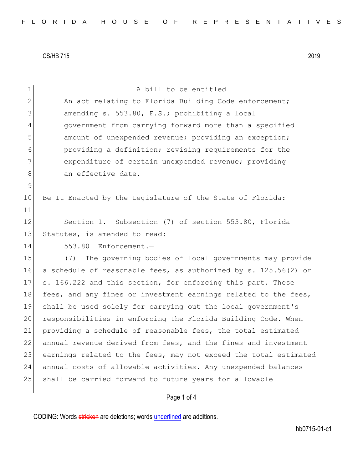| $\mathbf 1$    | A bill to be entitled                                            |
|----------------|------------------------------------------------------------------|
| $\overline{2}$ | An act relating to Florida Building Code enforcement;            |
| 3              | amending s. 553.80, F.S.; prohibiting a local                    |
| 4              | government from carrying forward more than a specified           |
| 5              | amount of unexpended revenue; providing an exception;            |
| 6              | providing a definition; revising requirements for the            |
| 7              | expenditure of certain unexpended revenue; providing             |
| 8              | an effective date.                                               |
| $\mathsf 9$    |                                                                  |
| 10             | Be It Enacted by the Legislature of the State of Florida:        |
| 11             |                                                                  |
| 12             | Section 1. Subsection (7) of section 553.80, Florida             |
| 13             | Statutes, is amended to read:                                    |
| 14             | 553.80 Enforcement.-                                             |
| 15             | The governing bodies of local governments may provide<br>(7)     |
| 16             | a schedule of reasonable fees, as authorized by s. 125.56(2) or  |
| 17             | s. 166.222 and this section, for enforcing this part. These      |
| 18             | fees, and any fines or investment earnings related to the fees,  |
| 19             | shall be used solely for carrying out the local government's     |
| 20             | responsibilities in enforcing the Florida Building Code. When    |
| 21             | providing a schedule of reasonable fees, the total estimated     |
| 22             | annual revenue derived from fees, and the fines and investment   |
| 23             | earnings related to the fees, may not exceed the total estimated |
| 24             | annual costs of allowable activities. Any unexpended balances    |
| 25             | shall be carried forward to future years for allowable           |
|                | Page 1 of 4                                                      |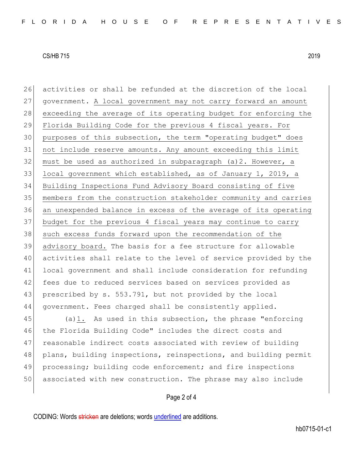activities or shall be refunded at the discretion of the local government. A local government may not carry forward an amount 28 exceeding the average of its operating budget for enforcing the Florida Building Code for the previous 4 fiscal years. For purposes of this subsection, the term "operating budget" does not include reserve amounts. Any amount exceeding this limit must be used as authorized in subparagraph (a) 2. However, a local government which established, as of January 1, 2019, a Building Inspections Fund Advisory Board consisting of five members from the construction stakeholder community and carries an unexpended balance in excess of the average of its operating 37 budget for the previous 4 fiscal years may continue to carry 38 such excess funds forward upon the recommendation of the advisory board. The basis for a fee structure for allowable activities shall relate to the level of service provided by the local government and shall include consideration for refunding 42 fees due to reduced services based on services provided as 43 prescribed by s. 553.791, but not provided by the local government. Fees charged shall be consistently applied. (a)1. As used in this subsection, the phrase "enforcing

46 the Florida Building Code" includes the direct costs and 47 reasonable indirect costs associated with review of building 48 plans, building inspections, reinspections, and building permit 49 processing; building code enforcement; and fire inspections 50 associated with new construction. The phrase may also include

## Page 2 of 4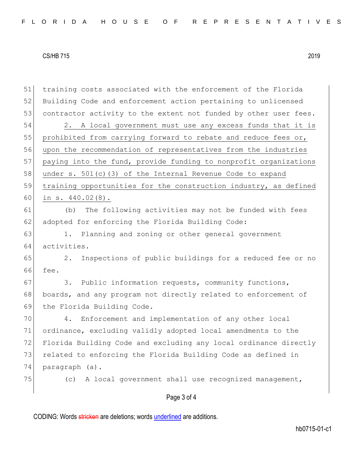| 51 | training costs associated with the enforcement of the Florida    |
|----|------------------------------------------------------------------|
| 52 | Building Code and enforcement action pertaining to unlicensed    |
| 53 | contractor activity to the extent not funded by other user fees. |
| 54 | 2. A local government must use any excess funds that it is       |
| 55 | prohibited from carrying forward to rebate and reduce fees or,   |
| 56 | upon the recommendation of representatives from the industries   |
| 57 | paying into the fund, provide funding to nonprofit organizations |
| 58 | under s. $501(c)$ (3) of the Internal Revenue Code to expand     |
| 59 | training opportunities for the construction industry, as defined |
| 60 | in $s. 440.02(8)$ .                                              |
| 61 | (b) The following activities may not be funded with fees         |
| 62 | adopted for enforcing the Florida Building Code:                 |
| 63 | Planning and zoning or other general government<br>1.            |
| 64 | activities.                                                      |
| 65 | Inspections of public buildings for a reduced fee or no<br>$2$ . |
| 66 | fee.                                                             |
| 67 | Public information requests, community functions,<br>3.          |
| 68 | boards, and any program not directly related to enforcement of   |
| 69 | the Florida Building Code.                                       |
| 70 | Enforcement and implementation of any other local<br>4.          |
| 71 | ordinance, excluding validly adopted local amendments to the     |
| 72 | Florida Building Code and excluding any local ordinance directly |
| 73 | related to enforcing the Florida Building Code as defined in     |
| 74 | paragraph (a).                                                   |
| 75 | A local government shall use recognized management,<br>(C)       |
|    | Page 3 of 4                                                      |